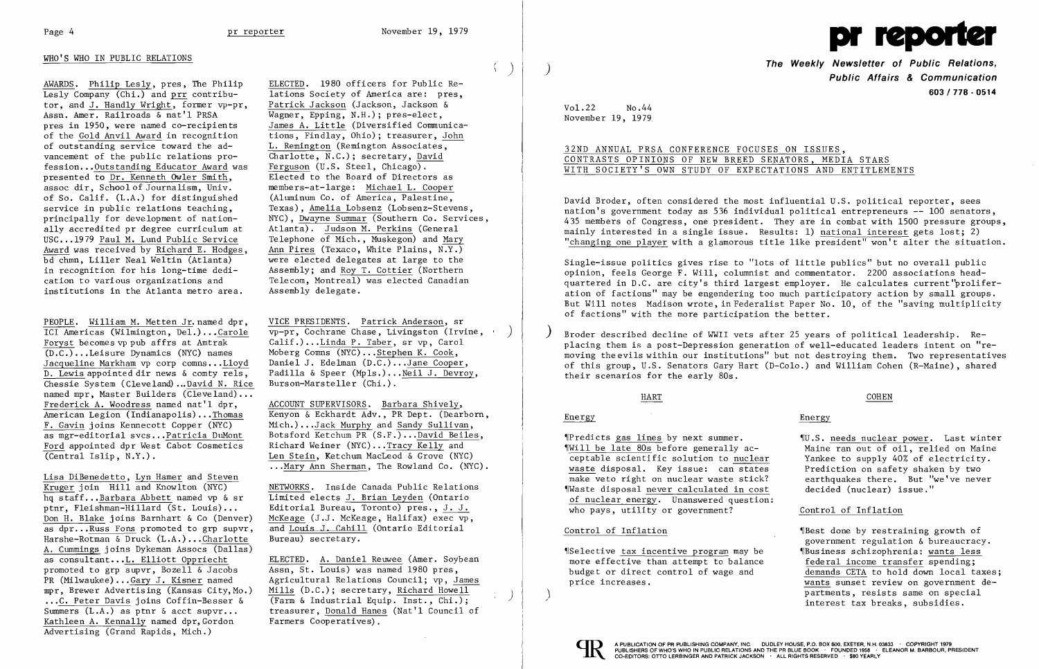

## WHO'S WHO IN PUBLIC RELATIONS

AWARDS. Philip Les1y, pres, The Philip  $\overline{\text{Lesly Company (Chi.)}}$  and prr contributor, and J. Handly Wright, former vp-pr, Assn. Amer. Railroads & nat'l PRSA pres in 1950, were named co-recipients of the Gold Anvil Award in recognition of outstanding service toward the advancement of the public relations profession...Outstanding Educator Award was presented to Dr. Kenneth Ow1er Smith, assoc dir, School of Journalism, Univ. of So. Calif. (L.A.) for distinguished service in public relations teaching, principally for development of nationally accredited pr degree curriculum at USC...1979 Paul M. Lund Public Service Award was received by Richard E. Hodges, bd chmn, Liller Neal We1tin (Atlanta) in recognition for his long-time dedication to various organizations and institutions in the Atlanta metro area.

PEOPLE. William M. Metten Jr. named dpr, lCI Americas (Wilmington, De1.) ...Caro1e Foryst becomes vp pub affrs at Amtrak (D.C.) •..Leisure Dynamics (NYC) names Jacqueline Markham vp corp comns...Lloyd D. Lewis appointed dir news & comty re1s, Chessie System (Cleveland) ... David N. Rice named mpr, Master Builders **(Cleveland) ...**  Frederick A. Woodress named nat'l dpr, American Legion (Indianapo1is) ... Thomas F. Gavin joins Kennecott Copper (NYC) as mgr-editoria1 svcs •..Patricia DuMont Ford appointed dpr West Cabot Cosmetics (Central Islip, N.Y.).

Lisa DiBenedetto, Lyn Hamer and Steven Kruger join Hill and Knowlton (NYC) hq staff..•Barbara Abbett named vp & sr ptnr, Fleishman-Hillard (St. Louis) ... Don H. Blake joins Barnhart & Co (Denver) as  $dpr...Russ$  Fons promoted to grp supvr, Harshe-Rotman & Druck (L.A.) ...Char1otte A. Cummings joins Dykeman Assocs (Dallas) as consultant...L. Elliott Oppriecht promoted to grp supvr, Bozell & Jacobs PR (Mi1waukee) ... Gary J. Kisner named mpr, Brewer Advertising (Kansas City,Mo.) ...C. Peter Davis joins Coffin-Besser & Summers  $(L.A.)$  as ptnr  $\&$  acct supvr... Kathleen A. Kennally named dpr, Gordon Advertising (Grand Rapids, Mich.)

# 32ND ANNUAL PRSA CONFERENCE FOCUSES ON ISSUES, CONTRASTS OPINIONS OF NEW BREED SENATORS, MEDIA STARS WITH SOCIETY'S OWN STUDY OF EXPECTATIONS AND ENTITLEMENTS

ELECTED. 1980 officers for Public Re lations Society of America are: pres, Patrick Jackson (Jackson, Jackson & Wagner, Epping, N.H.); pres-elect, James A. Little (Diversified Communica tions, Findlay, Ohio); treasurer, John L. Remington (Remington Associates,  $\overline{Charlotte, N.C.}$ ; secretary, David Ferguson (U.S. Steel, Chicago). Elected to the Board of Directors as members-at-1arge: Michael L. Cooper (Aluminum Co. of America, Palestine, Texas), Amelia Lobsenz (Lobsenz-Stevens, NYC), Dwayne Summar (Southern Co. Services, Atlanta). Judson M. Perkins (General Telephone of Mich., Muskegon) and Mary Ann Pires (Texaco, White Plains, N.Y.) were elected delegates at large to the Assembly; and Roy T. Cottier (Northern Telecom, Montreal) was elected Canadian Assembly delegate.

> Broder described decline of WWII vets after 25 years of political leadership. Replacing them is a post-Depression generation of well-educated leaders intent on "removing the evils within our institutions" but not destroying them. Two representatives of this group, U.S. Senators Gary Hart (D-Co10.) and William Cohen (R-Maine), shared their scenarios for the early 80s.

VICE PRESIDENTS. Patrick Anderson, sr vp-pr, Cochrane Chase, Livingston (Irvine, ) Ca1if.) ...Linda P. Taber, sr vp, Carol Moberg Comns (NYC) ... Stephen K. Cook, Daniel J. Edelman (D.C.)...Jane Cooper, Padilla & Speer (Mpls.)... Neil J. Devroy, Burson-Marsteller (Chi.).

ACCOUNT SUPERVISORS. Barbara Shively, Kenyon & Eckhardt Adv., PR Dept. (Dearborn, Mich.) ...Jack Murphy and Sandy Sullivan, Botsford Ketchum PR (S.F.) ...David Bei1es, Richard Weiner (NYC) ... Tracy Kelly and Len Stein, Ketchum MacLeod & Grove (NYC) ...Mary Ann Sherman, The Rowland Co. (NYC).

NETWORKS. Inside Canada Public Relations Limited elects J. Brian Leyden (Ontario Editorial Bureau, Toronto) pres., J. J. McKeage (J.J. McKeage, Halifax) exec vp, and Louis J. Cahill (Ontario Editorial Bureau) secretary.

ELECTED. A. Daniel Reuwee (Amer. Soybean Assn, St. Louis) was named 1980 pres, Agricultural Relations Council; vp, James Mills (D.C.); secretary, Richard Howell (Farm & Industrial Equip. Inst., Chi.); treasurer, Donald Hanes (Nat'l Council of Farmers Cooperatives).

 $\sim$ 

 $\langle \ \rangle$  |

**The Weekly Newsletter of Public Relations,** ) **Public Affairs & Communication 603 I 778 . 0514** 

Vo1.22 No.44 November 19, 1979

David Broder, often considered the most influential U.S. political reporter, sees nation's government today as 536 individual political entrepreneurs -- 100 senators, 435 members of Congress, one president. They are in combat with 1500 pressure groups, mainly interested in a single issue. Results: 1) national interest gets lost; 2) "changing one player with a glamorous title like president" won't alter the situation.

Single-issue politics gives rise to "lots of little publics" but no overall public opinion, feels George F. Will, columnist and commentator. 2200 associations headquartered in D.C. are city's third largest employer. He calculates current'pro1iferation of factions" may be engendering too much participatory action by small groups. But Will notes Madison wrote, in Federalist Paper No. 10, of the "saving multiplicity of factions" with the more participation the better.

## HART

# Energy

~IPredicts gas lines by next summer. ~IWi11 be late 80s before generally acceptable scientific solution to nuclear waste disposal. Key issue: can states make veto right on nuclear waste stick? ~IWaste disposal never calculated in cost of nuclear energy. Unanswered question: who pays, utility or government?

#### Control of Inflation

~ISe1ective tax incentive program may be more effective than attempt to balance budget or direct control of wage and price increases.



) ./

## COHEN

# Energy

~IU.S. needs nuclear power. Last winter Maine ran out of oil, relied on Maine Yankee to supply 40% of electricity. Prediction on safety shaken by two earthquakes there. But "we've never decided (nuclear) issue."

#### Control of Inflation

~IBest done by restraining growth of government regulation & bureaucracy. ~IBus iness schizophrenia: wants less federal income transfer spending; demands CETA to hold down local taxes; wants sunset review on government departments, resists same on special interest tax breaks, subsidies.